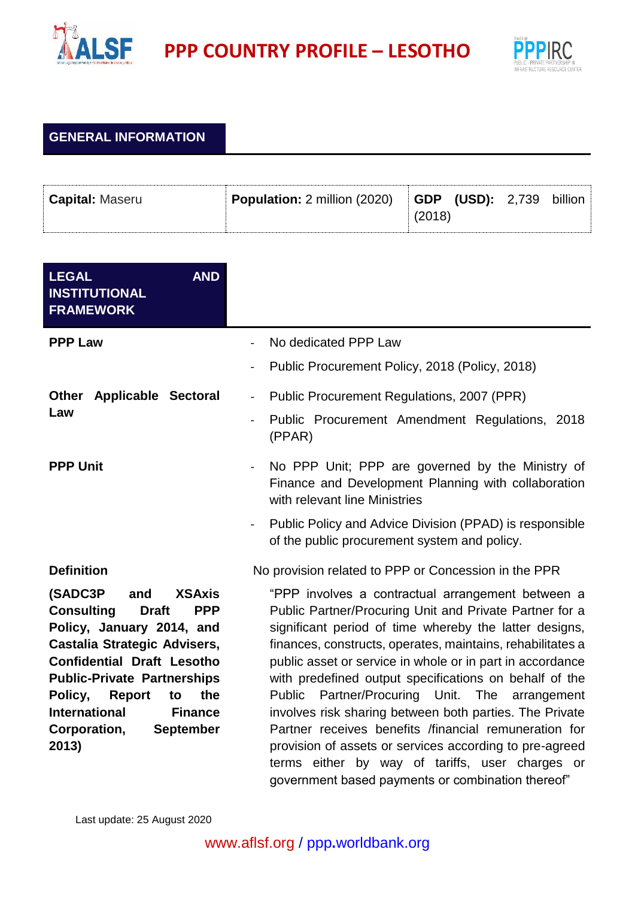

**PPP** COUNTRY PROFILE – LESOTHO



## **GENERAL INFORMATION**

| <b>Capital: Maseru</b> | Population: 2 million (2020) |        | $\vert$ GDP (USD): 2,739 | billion |
|------------------------|------------------------------|--------|--------------------------|---------|
|                        |                              | (2018) |                          |         |

| <b>AND</b><br><b>LEGAL</b><br><b>INSTITUTIONAL</b><br><b>FRAMEWORK</b>                                                                                                                                                                                                                                                                              |                                                                                                                                                                                                                                                                                                                                                                                                                                                                                                                                                                                                                                                                                                               |  |
|-----------------------------------------------------------------------------------------------------------------------------------------------------------------------------------------------------------------------------------------------------------------------------------------------------------------------------------------------------|---------------------------------------------------------------------------------------------------------------------------------------------------------------------------------------------------------------------------------------------------------------------------------------------------------------------------------------------------------------------------------------------------------------------------------------------------------------------------------------------------------------------------------------------------------------------------------------------------------------------------------------------------------------------------------------------------------------|--|
| <b>PPP Law</b>                                                                                                                                                                                                                                                                                                                                      | No dedicated PPP Law                                                                                                                                                                                                                                                                                                                                                                                                                                                                                                                                                                                                                                                                                          |  |
|                                                                                                                                                                                                                                                                                                                                                     | Public Procurement Policy, 2018 (Policy, 2018)                                                                                                                                                                                                                                                                                                                                                                                                                                                                                                                                                                                                                                                                |  |
| <b>Other Applicable Sectoral</b>                                                                                                                                                                                                                                                                                                                    | Public Procurement Regulations, 2007 (PPR)<br>$\overline{\phantom{0}}$                                                                                                                                                                                                                                                                                                                                                                                                                                                                                                                                                                                                                                        |  |
| Law                                                                                                                                                                                                                                                                                                                                                 | Public Procurement Amendment Regulations, 2018<br>(PPAR)                                                                                                                                                                                                                                                                                                                                                                                                                                                                                                                                                                                                                                                      |  |
| <b>PPP Unit</b>                                                                                                                                                                                                                                                                                                                                     | No PPP Unit; PPP are governed by the Ministry of<br>$\overline{\phantom{a}}$<br>Finance and Development Planning with collaboration<br>with relevant line Ministries                                                                                                                                                                                                                                                                                                                                                                                                                                                                                                                                          |  |
|                                                                                                                                                                                                                                                                                                                                                     | Public Policy and Advice Division (PPAD) is responsible<br>of the public procurement system and policy.                                                                                                                                                                                                                                                                                                                                                                                                                                                                                                                                                                                                       |  |
| <b>Definition</b>                                                                                                                                                                                                                                                                                                                                   | No provision related to PPP or Concession in the PPR                                                                                                                                                                                                                                                                                                                                                                                                                                                                                                                                                                                                                                                          |  |
| (SADC3P<br>and<br><b>XSAxis</b><br><b>Consulting</b><br><b>Draft</b><br><b>PPP</b><br>Policy, January 2014, and<br>Castalia Strategic Advisers,<br><b>Confidential Draft Lesotho</b><br><b>Public-Private Partnerships</b><br>Policy,<br><b>Report</b><br>the<br>to<br><b>International</b><br><b>Finance</b><br>Corporation,<br>September<br>2013) | "PPP involves a contractual arrangement between a<br>Public Partner/Procuring Unit and Private Partner for a<br>significant period of time whereby the latter designs,<br>finances, constructs, operates, maintains, rehabilitates a<br>public asset or service in whole or in part in accordance<br>with predefined output specifications on behalf of the<br>Partner/Procuring Unit.<br>The<br>Public<br>arrangement<br>involves risk sharing between both parties. The Private<br>Partner receives benefits /financial remuneration for<br>provision of assets or services according to pre-agreed<br>terms either by way of tariffs, user charges or<br>government based payments or combination thereof" |  |

Last update: 25 August 2020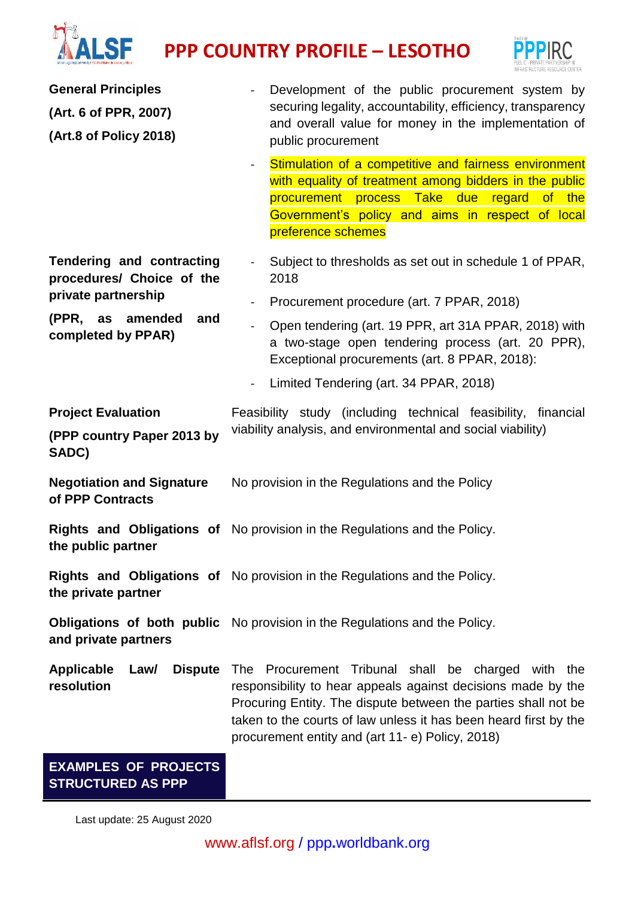## TALSF **PPP COUNTRY PROFILE – LESOTHO**



| <b>General Principles</b>                                        | Development of the public procurement system by                                                                                                                                                                                                                                                                        |  |  |
|------------------------------------------------------------------|------------------------------------------------------------------------------------------------------------------------------------------------------------------------------------------------------------------------------------------------------------------------------------------------------------------------|--|--|
| (Art. 6 of PPR, 2007)                                            | securing legality, accountability, efficiency, transparency                                                                                                                                                                                                                                                            |  |  |
| (Art.8 of Policy 2018)                                           | and overall value for money in the implementation of<br>public procurement                                                                                                                                                                                                                                             |  |  |
|                                                                  | Stimulation of a competitive and fairness environment<br>$\blacksquare$<br>with equality of treatment among bidders in the public<br>procurement process Take due regard of the<br>Government's policy and aims in respect of local<br>preference schemes                                                              |  |  |
| Tendering and contracting<br>procedures/ Choice of the           | Subject to thresholds as set out in schedule 1 of PPAR,<br>$\blacksquare$<br>2018                                                                                                                                                                                                                                      |  |  |
| private partnership                                              | Procurement procedure (art. 7 PPAR, 2018)                                                                                                                                                                                                                                                                              |  |  |
| (PPR, as amended<br>and<br>completed by PPAR)                    | Open tendering (art. 19 PPR, art 31A PPAR, 2018) with<br>$\overline{a}$<br>a two-stage open tendering process (art. 20 PPR),<br>Exceptional procurements (art. 8 PPAR, 2018):                                                                                                                                          |  |  |
|                                                                  | Limited Tendering (art. 34 PPAR, 2018)<br>$\overline{\phantom{a}}$                                                                                                                                                                                                                                                     |  |  |
| <b>Project Evaluation</b><br>(PPP country Paper 2013 by<br>SADC) | Feasibility study (including technical feasibility, financial<br>viability analysis, and environmental and social viability)                                                                                                                                                                                           |  |  |
| <b>Negotiation and Signature</b><br>of PPP Contracts             | No provision in the Regulations and the Policy                                                                                                                                                                                                                                                                         |  |  |
| the public partner                                               | Rights and Obligations of No provision in the Regulations and the Policy.                                                                                                                                                                                                                                              |  |  |
| the private partner                                              | Rights and Obligations of No provision in the Regulations and the Policy.                                                                                                                                                                                                                                              |  |  |
| and private partners                                             | <b>Obligations of both public</b> No provision in the Regulations and the Policy.                                                                                                                                                                                                                                      |  |  |
| <b>Dispute</b><br><b>Applicable</b><br>Law/<br>resolution        | Procurement Tribunal shall be charged with the<br><b>The</b><br>responsibility to hear appeals against decisions made by the<br>Procuring Entity. The dispute between the parties shall not be<br>taken to the courts of law unless it has been heard first by the<br>procurement entity and (art 11- e) Policy, 2018) |  |  |
| <b>EXAMPLES OF PROJECTS</b><br><b>STRUCTURED AS PPP</b>          |                                                                                                                                                                                                                                                                                                                        |  |  |

Last update: 25 August 2020